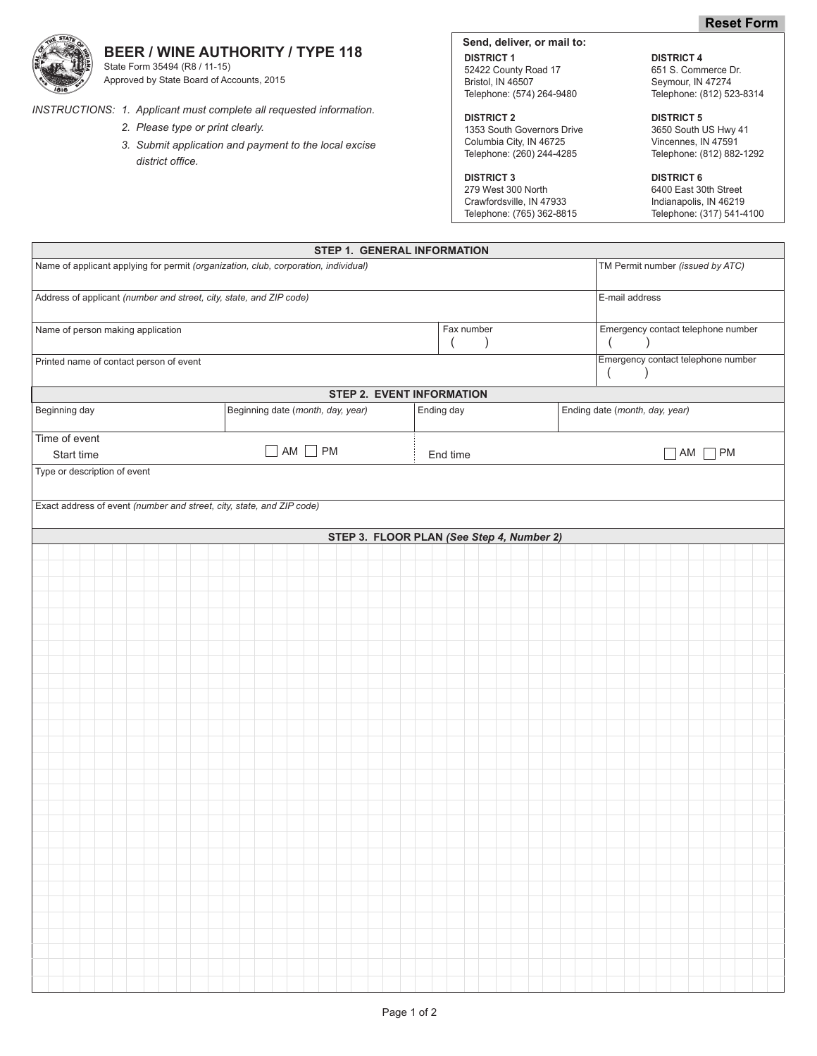# **BEER / WINE AUTHORITY / TYPE 118**

State Form 35494 (R8 / 11-15) Approved by State Board of Accounts, 2015

*INSTRUCTIONS: 1. Applicant must complete all requested information.*

- *2. Please type or print clearly.*
- *3. Submit application and payment to the local excise district office.*

**Send, deliver, or mail to: DISTRICT 1** DISTRICT 4 52422 County Road 17 651 S. Commerce Dr.<br>Bristol, IN 46507 659 Seymour, IN 47274 Bristol, IN 46507<br>
Telephone: (574) 264-9480<br>
Telephone: (812) 52

**DISTRICT 2**<br>
1353 South Governors Drive<br>
2650 South US Hwy 41 1353 South Governors Drive 3650 South US Hwy 4<br>Columbia City, IN 46725<br>
Vincennes, IN 47591 Columbia City, IN 46725<br>Telephone: (260) 244-4285

**DISTRICT 3**<br>279 West 300 North 6400 East 30 Crawfordsville, IN 47933 Indianapolis, IN 46219<br>
Telephone: (765) 362-8815 Telephone: (317) 541-4100 Telephone: (765) 362-8815

Telephone: (812) 523-8314

Telephone: (812) 882-1292

6400 East 30th Street<br>Indianapolis, IN 46219

| STEP 1. GENERAL INFORMATION                                                         |                                   |                                            |                                                             |  |  |  |  |
|-------------------------------------------------------------------------------------|-----------------------------------|--------------------------------------------|-------------------------------------------------------------|--|--|--|--|
| Name of applicant applying for permit (organization, club, corporation, individual) |                                   |                                            | TM Permit number (issued by ATC)                            |  |  |  |  |
| Address of applicant (number and street, city, state, and ZIP code)                 |                                   |                                            | E-mail address                                              |  |  |  |  |
| Name of person making application                                                   |                                   | Fax number<br>$\left($<br>$\left( \right)$ | Emergency contact telephone number<br>$\left($<br>$\lambda$ |  |  |  |  |
| Printed name of contact person of event                                             |                                   |                                            | Emergency contact telephone number                          |  |  |  |  |
|                                                                                     |                                   |                                            | $\left($<br>$\left( \right)$                                |  |  |  |  |
| <b>STEP 2. EVENT INFORMATION</b>                                                    |                                   |                                            |                                                             |  |  |  |  |
| Beginning day                                                                       | Beginning date (month, day, year) | Ending day                                 | Ending date (month, day, year)                              |  |  |  |  |
| Time of event                                                                       | $\Box$ AM $\Box$ PM               |                                            |                                                             |  |  |  |  |
| Start time                                                                          |                                   | End time                                   | $AM \Box PM$<br>$\sim$                                      |  |  |  |  |
| Type or description of event                                                        |                                   |                                            |                                                             |  |  |  |  |
| Exact address of event (number and street, city, state, and ZIP code)               |                                   |                                            |                                                             |  |  |  |  |
|                                                                                     |                                   | STEP 3. FLOOR PLAN (See Step 4, Number 2)  |                                                             |  |  |  |  |
|                                                                                     |                                   |                                            |                                                             |  |  |  |  |
|                                                                                     |                                   |                                            |                                                             |  |  |  |  |
|                                                                                     |                                   |                                            |                                                             |  |  |  |  |
|                                                                                     |                                   |                                            |                                                             |  |  |  |  |
|                                                                                     |                                   |                                            |                                                             |  |  |  |  |
|                                                                                     |                                   |                                            |                                                             |  |  |  |  |
|                                                                                     |                                   |                                            |                                                             |  |  |  |  |
|                                                                                     |                                   |                                            |                                                             |  |  |  |  |
|                                                                                     |                                   |                                            |                                                             |  |  |  |  |
|                                                                                     |                                   |                                            |                                                             |  |  |  |  |
|                                                                                     |                                   |                                            |                                                             |  |  |  |  |
|                                                                                     |                                   |                                            |                                                             |  |  |  |  |
|                                                                                     |                                   |                                            |                                                             |  |  |  |  |
|                                                                                     |                                   |                                            |                                                             |  |  |  |  |
|                                                                                     |                                   |                                            |                                                             |  |  |  |  |
|                                                                                     |                                   |                                            |                                                             |  |  |  |  |
|                                                                                     |                                   |                                            |                                                             |  |  |  |  |
|                                                                                     |                                   |                                            |                                                             |  |  |  |  |
|                                                                                     |                                   |                                            |                                                             |  |  |  |  |
|                                                                                     |                                   |                                            |                                                             |  |  |  |  |
|                                                                                     |                                   |                                            |                                                             |  |  |  |  |
|                                                                                     |                                   |                                            |                                                             |  |  |  |  |
|                                                                                     |                                   |                                            |                                                             |  |  |  |  |
|                                                                                     |                                   |                                            |                                                             |  |  |  |  |
|                                                                                     |                                   |                                            |                                                             |  |  |  |  |
|                                                                                     |                                   |                                            |                                                             |  |  |  |  |